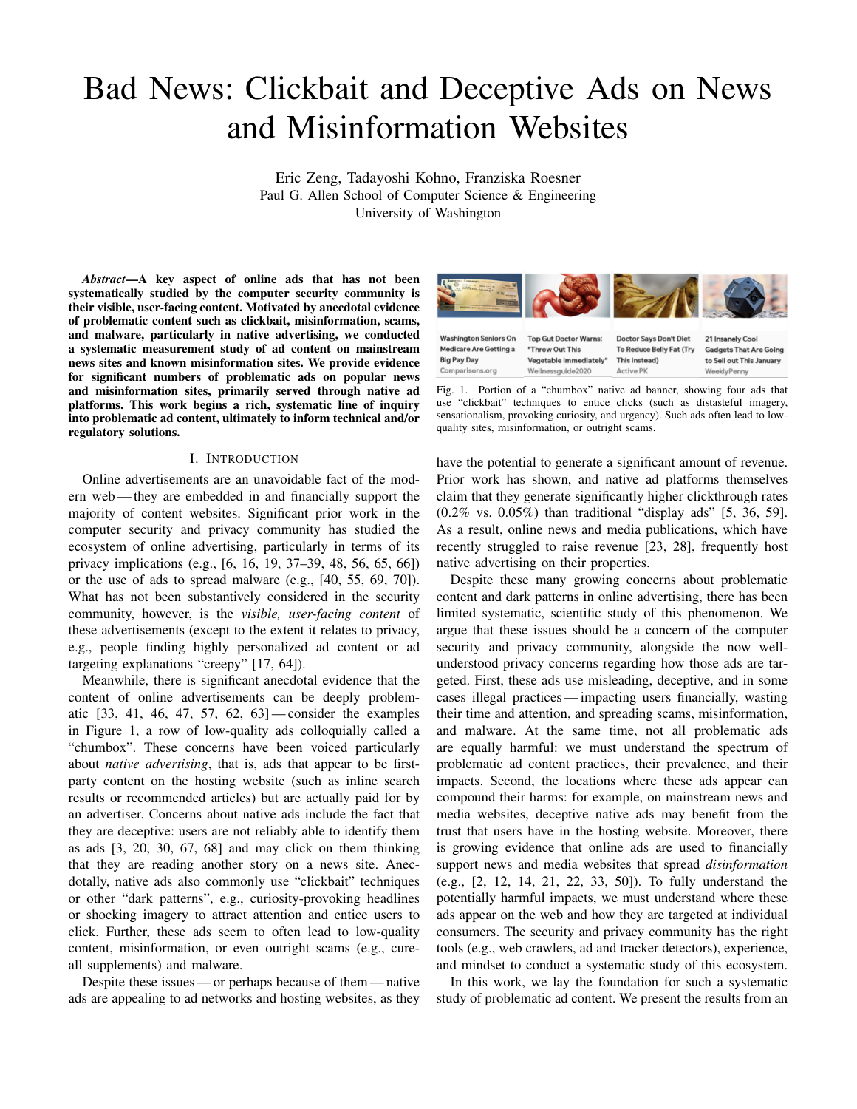# Bad News: Clickbait and Deceptive Ads on News and Misinformation Websites

Eric Zeng, Tadayoshi Kohno, Franziska Roesner Paul G. Allen School of Computer Science & Engineering University of Washington

*Abstract*—A key aspect of online ads that has not been systematically studied by the computer security community is their visible, user-facing content. Motivated by anecdotal evidence of problematic content such as clickbait, misinformation, scams, and malware, particularly in native advertising, we conducted a systematic measurement study of ad content on mainstream news sites and known misinformation sites. We provide evidence for significant numbers of problematic ads on popular news and misinformation sites, primarily served through native ad platforms. This work begins a rich, systematic line of inquiry into problematic ad content, ultimately to inform technical and/or regulatory solutions.

#### I. INTRODUCTION

Online advertisements are an unavoidable fact of the modern web — they are embedded in and financially support the majority of content websites. Significant prior work in the computer security and privacy community has studied the ecosystem of online advertising, particularly in terms of its privacy implications (e.g., [6, 16, 19, 37–39, 48, 56, 65, 66]) or the use of ads to spread malware (e.g., [40, 55, 69, 70]). What has not been substantively considered in the security community, however, is the *visible, user-facing content* of these advertisements (except to the extent it relates to privacy, e.g., people finding highly personalized ad content or ad targeting explanations "creepy" [17, 64]).

Meanwhile, there is significant anecdotal evidence that the content of online advertisements can be deeply problematic [33, 41, 46, 47, 57, 62, 63] — consider the examples in Figure 1, a row of low-quality ads colloquially called a "chumbox". These concerns have been voiced particularly about *native advertising*, that is, ads that appear to be firstparty content on the hosting website (such as inline search results or recommended articles) but are actually paid for by an advertiser. Concerns about native ads include the fact that they are deceptive: users are not reliably able to identify them as ads [3, 20, 30, 67, 68] and may click on them thinking that they are reading another story on a news site. Anecdotally, native ads also commonly use "clickbait" techniques or other "dark patterns", e.g., curiosity-provoking headlines or shocking imagery to attract attention and entice users to click. Further, these ads seem to often lead to low-quality content, misinformation, or even outright scams (e.g., cureall supplements) and malware.

Despite these issues — or perhaps because of them— native ads are appealing to ad networks and hosting websites, as they

**Washington Seniors On Top Gut Doctor Warns: Doctor Says Don't Diet** 21 Insanely Cool **Medicare Are Getting a** "Throw Out This To Reduce Belly Fat (Try **Gadgets That Are Going Big Pay Day** Vegetable Immediately This instead) to Sell out This January Comparisons.org Wellnessguide2020 **Active PK** WeeklyPenny

Fig. 1. Portion of a "chumbox" native ad banner, showing four ads that use "clickbait" techniques to entice clicks (such as distasteful imagery, sensationalism, provoking curiosity, and urgency). Such ads often lead to lowquality sites, misinformation, or outright scams.

have the potential to generate a significant amount of revenue. Prior work has shown, and native ad platforms themselves claim that they generate significantly higher clickthrough rates (0.2% vs. 0.05%) than traditional "display ads" [5, 36, 59]. As a result, online news and media publications, which have recently struggled to raise revenue [23, 28], frequently host native advertising on their properties.

Despite these many growing concerns about problematic content and dark patterns in online advertising, there has been limited systematic, scientific study of this phenomenon. We argue that these issues should be a concern of the computer security and privacy community, alongside the now wellunderstood privacy concerns regarding how those ads are targeted. First, these ads use misleading, deceptive, and in some cases illegal practices — impacting users financially, wasting their time and attention, and spreading scams, misinformation, and malware. At the same time, not all problematic ads are equally harmful: we must understand the spectrum of problematic ad content practices, their prevalence, and their impacts. Second, the locations where these ads appear can compound their harms: for example, on mainstream news and media websites, deceptive native ads may benefit from the trust that users have in the hosting website. Moreover, there is growing evidence that online ads are used to financially support news and media websites that spread *disinformation* (e.g., [2, 12, 14, 21, 22, 33, 50]). To fully understand the potentially harmful impacts, we must understand where these ads appear on the web and how they are targeted at individual consumers. The security and privacy community has the right tools (e.g., web crawlers, ad and tracker detectors), experience, and mindset to conduct a systematic study of this ecosystem.

In this work, we lay the foundation for such a systematic study of problematic ad content. We present the results from an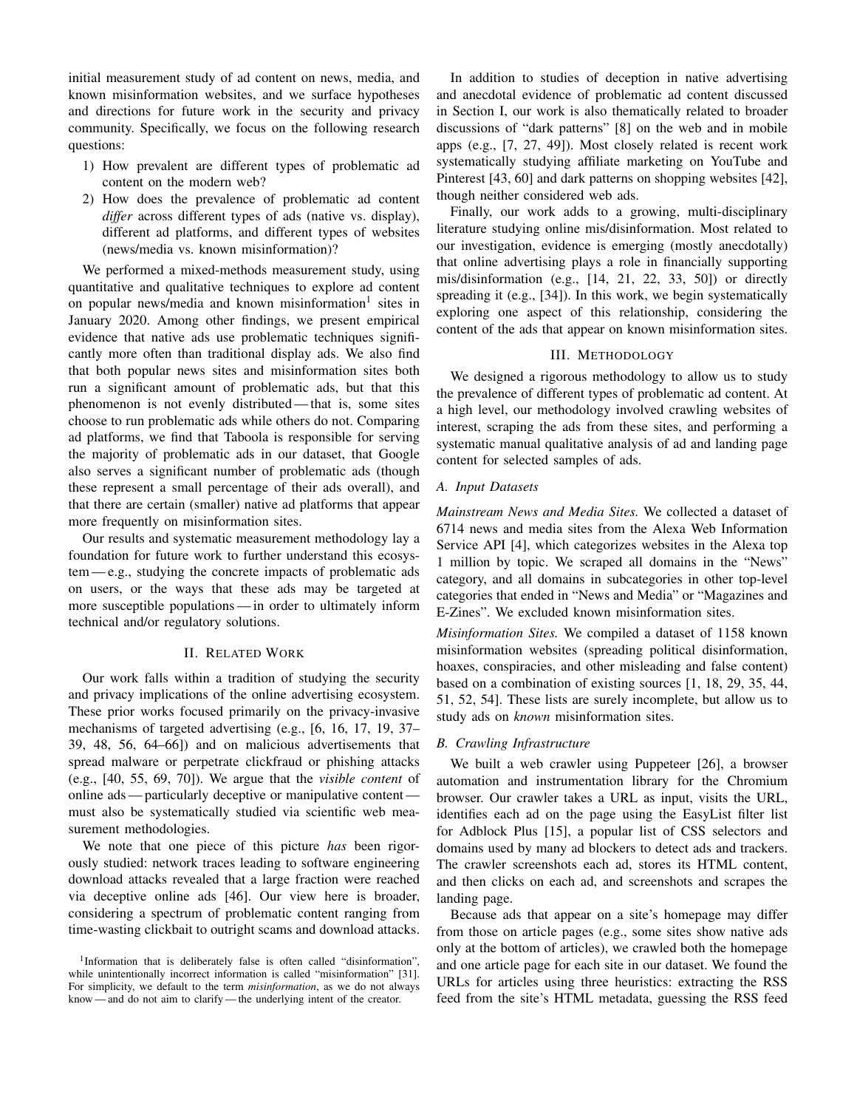initial measurement study of ad content on news, media, and known misinformation websites, and we surface hypotheses and directions for future work in the security and privacy community. Specifically, we focus on the following research questions:

- 1) How prevalent are different types of problematic ad content on the modern web?
- 2) How does the prevalence of problematic ad content *differ* across different types of ads (native vs. display), different ad platforms, and different types of websites (news/media vs. known misinformation)?

We performed a mixed-methods measurement study, using quantitative and qualitative techniques to explore ad content on popular news/media and known misinformation<sup>1</sup> sites in January 2020. Among other findings, we present empirical evidence that native ads use problematic techniques significantly more often than traditional display ads. We also find that both popular news sites and misinformation sites both run a significant amount of problematic ads, but that this phenomenon is not evenly distributed— that is, some sites choose to run problematic ads while others do not. Comparing ad platforms, we find that Taboola is responsible for serving the majority of problematic ads in our dataset, that Google also serves a significant number of problematic ads (though these represent a small percentage of their ads overall), and that there are certain (smaller) native ad platforms that appear more frequently on misinformation sites.

Our results and systematic measurement methodology lay a foundation for future work to further understand this ecosystem — e.g., studying the concrete impacts of problematic ads on users, or the ways that these ads may be targeted at more susceptible populations — in order to ultimately inform technical and/or regulatory solutions.

## II. RELATED WORK

Our work falls within a tradition of studying the security and privacy implications of the online advertising ecosystem. These prior works focused primarily on the privacy-invasive mechanisms of targeted advertising (e.g., [6, 16, 17, 19, 37– 39, 48, 56, 64–66]) and on malicious advertisements that spread malware or perpetrate clickfraud or phishing attacks (e.g., [40, 55, 69, 70]). We argue that the *visible content* of online ads — particularly deceptive or manipulative content must also be systematically studied via scientific web measurement methodologies.

We note that one piece of this picture *has* been rigorously studied: network traces leading to software engineering download attacks revealed that a large fraction were reached via deceptive online ads [46]. Our view here is broader, considering a spectrum of problematic content ranging from time-wasting clickbait to outright scams and download attacks.

In addition to studies of deception in native advertising and anecdotal evidence of problematic ad content discussed in Section I, our work is also thematically related to broader discussions of "dark patterns" [8] on the web and in mobile apps (e.g., [7, 27, 49]). Most closely related is recent work systematically studying affiliate marketing on YouTube and Pinterest [43, 60] and dark patterns on shopping websites [42], though neither considered web ads.

Finally, our work adds to a growing, multi-disciplinary literature studying online mis/disinformation. Most related to our investigation, evidence is emerging (mostly anecdotally) that online advertising plays a role in financially supporting mis/disinformation (e.g., [14, 21, 22, 33, 50]) or directly spreading it (e.g., [34]). In this work, we begin systematically exploring one aspect of this relationship, considering the content of the ads that appear on known misinformation sites.

## III. METHODOLOGY

We designed a rigorous methodology to allow us to study the prevalence of different types of problematic ad content. At a high level, our methodology involved crawling websites of interest, scraping the ads from these sites, and performing a systematic manual qualitative analysis of ad and landing page content for selected samples of ads.

## *A. Input Datasets*

*Mainstream News and Media Sites.* We collected a dataset of 6714 news and media sites from the Alexa Web Information Service API [4], which categorizes websites in the Alexa top 1 million by topic. We scraped all domains in the "News" category, and all domains in subcategories in other top-level categories that ended in "News and Media" or "Magazines and E-Zines". We excluded known misinformation sites.

*Misinformation Sites.* We compiled a dataset of 1158 known misinformation websites (spreading political disinformation, hoaxes, conspiracies, and other misleading and false content) based on a combination of existing sources [1, 18, 29, 35, 44, 51, 52, 54]. These lists are surely incomplete, but allow us to study ads on *known* misinformation sites.

#### *B. Crawling Infrastructure*

We built a web crawler using Puppeteer [26], a browser automation and instrumentation library for the Chromium browser. Our crawler takes a URL as input, visits the URL, identifies each ad on the page using the EasyList filter list for Adblock Plus [15], a popular list of CSS selectors and domains used by many ad blockers to detect ads and trackers. The crawler screenshots each ad, stores its HTML content, and then clicks on each ad, and screenshots and scrapes the landing page.

Because ads that appear on a site's homepage may differ from those on article pages (e.g., some sites show native ads only at the bottom of articles), we crawled both the homepage and one article page for each site in our dataset. We found the URLs for articles using three heuristics: extracting the RSS feed from the site's HTML metadata, guessing the RSS feed

<sup>&</sup>lt;sup>1</sup>Information that is deliberately false is often called "disinformation", while unintentionally incorrect information is called "misinformation" [31]. For simplicity, we default to the term *misinformation*, as we do not always know — and do not aim to clarify — the underlying intent of the creator.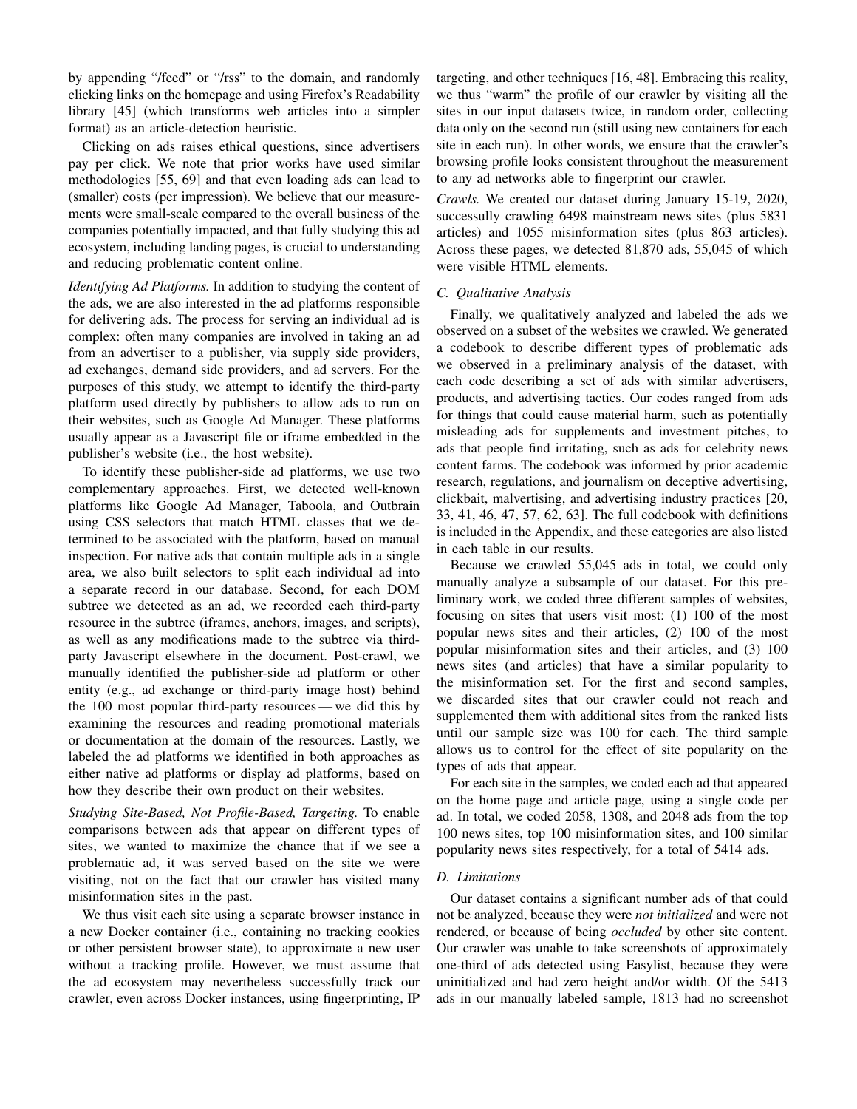by appending "/feed" or "/rss" to the domain, and randomly clicking links on the homepage and using Firefox's Readability library [45] (which transforms web articles into a simpler format) as an article-detection heuristic.

Clicking on ads raises ethical questions, since advertisers pay per click. We note that prior works have used similar methodologies [55, 69] and that even loading ads can lead to (smaller) costs (per impression). We believe that our measurements were small-scale compared to the overall business of the companies potentially impacted, and that fully studying this ad ecosystem, including landing pages, is crucial to understanding and reducing problematic content online.

*Identifying Ad Platforms.* In addition to studying the content of the ads, we are also interested in the ad platforms responsible for delivering ads. The process for serving an individual ad is complex: often many companies are involved in taking an ad from an advertiser to a publisher, via supply side providers, ad exchanges, demand side providers, and ad servers. For the purposes of this study, we attempt to identify the third-party platform used directly by publishers to allow ads to run on their websites, such as Google Ad Manager. These platforms usually appear as a Javascript file or iframe embedded in the publisher's website (i.e., the host website).

To identify these publisher-side ad platforms, we use two complementary approaches. First, we detected well-known platforms like Google Ad Manager, Taboola, and Outbrain using CSS selectors that match HTML classes that we determined to be associated with the platform, based on manual inspection. For native ads that contain multiple ads in a single area, we also built selectors to split each individual ad into a separate record in our database. Second, for each DOM subtree we detected as an ad, we recorded each third-party resource in the subtree (iframes, anchors, images, and scripts), as well as any modifications made to the subtree via thirdparty Javascript elsewhere in the document. Post-crawl, we manually identified the publisher-side ad platform or other entity (e.g., ad exchange or third-party image host) behind the 100 most popular third-party resources— we did this by examining the resources and reading promotional materials or documentation at the domain of the resources. Lastly, we labeled the ad platforms we identified in both approaches as either native ad platforms or display ad platforms, based on how they describe their own product on their websites.

*Studying Site-Based, Not Profile-Based, Targeting.* To enable comparisons between ads that appear on different types of sites, we wanted to maximize the chance that if we see a problematic ad, it was served based on the site we were visiting, not on the fact that our crawler has visited many misinformation sites in the past.

We thus visit each site using a separate browser instance in a new Docker container (i.e., containing no tracking cookies or other persistent browser state), to approximate a new user without a tracking profile. However, we must assume that the ad ecosystem may nevertheless successfully track our crawler, even across Docker instances, using fingerprinting, IP targeting, and other techniques [16, 48]. Embracing this reality, we thus "warm" the profile of our crawler by visiting all the sites in our input datasets twice, in random order, collecting data only on the second run (still using new containers for each site in each run). In other words, we ensure that the crawler's browsing profile looks consistent throughout the measurement to any ad networks able to fingerprint our crawler.

*Crawls.* We created our dataset during January 15-19, 2020, successully crawling 6498 mainstream news sites (plus 5831 articles) and 1055 misinformation sites (plus 863 articles). Across these pages, we detected 81,870 ads, 55,045 of which were visible HTML elements.

## *C. Qualitative Analysis*

Finally, we qualitatively analyzed and labeled the ads we observed on a subset of the websites we crawled. We generated a codebook to describe different types of problematic ads we observed in a preliminary analysis of the dataset, with each code describing a set of ads with similar advertisers, products, and advertising tactics. Our codes ranged from ads for things that could cause material harm, such as potentially misleading ads for supplements and investment pitches, to ads that people find irritating, such as ads for celebrity news content farms. The codebook was informed by prior academic research, regulations, and journalism on deceptive advertising, clickbait, malvertising, and advertising industry practices [20, 33, 41, 46, 47, 57, 62, 63]. The full codebook with definitions is included in the Appendix, and these categories are also listed in each table in our results.

Because we crawled 55,045 ads in total, we could only manually analyze a subsample of our dataset. For this preliminary work, we coded three different samples of websites, focusing on sites that users visit most: (1) 100 of the most popular news sites and their articles, (2) 100 of the most popular misinformation sites and their articles, and (3) 100 news sites (and articles) that have a similar popularity to the misinformation set. For the first and second samples, we discarded sites that our crawler could not reach and supplemented them with additional sites from the ranked lists until our sample size was 100 for each. The third sample allows us to control for the effect of site popularity on the types of ads that appear.

For each site in the samples, we coded each ad that appeared on the home page and article page, using a single code per ad. In total, we coded 2058, 1308, and 2048 ads from the top 100 news sites, top 100 misinformation sites, and 100 similar popularity news sites respectively, for a total of 5414 ads.

#### *D. Limitations*

Our dataset contains a significant number ads of that could not be analyzed, because they were *not initialized* and were not rendered, or because of being *occluded* by other site content. Our crawler was unable to take screenshots of approximately one-third of ads detected using Easylist, because they were uninitialized and had zero height and/or width. Of the 5413 ads in our manually labeled sample, 1813 had no screenshot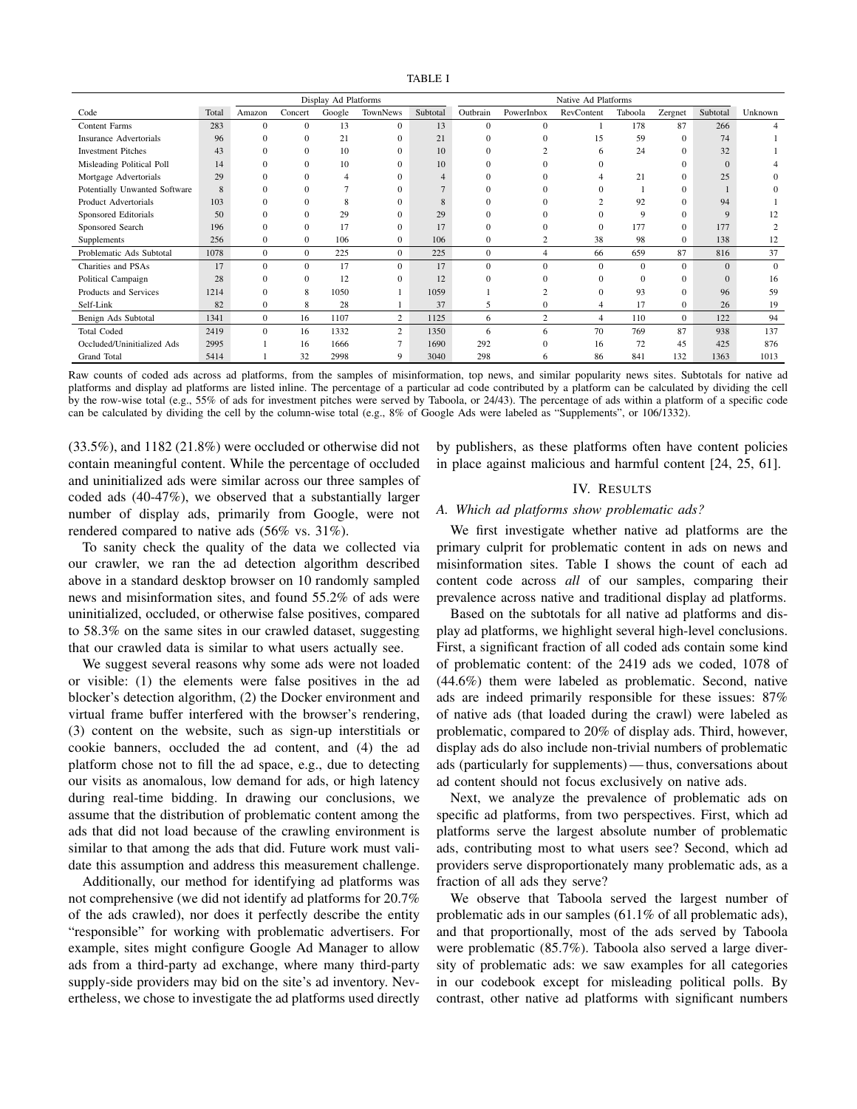|                               |       | Display Ad Platforms |              |        |                |          |              | Native Ad Platforms |                |          |                |             |          |
|-------------------------------|-------|----------------------|--------------|--------|----------------|----------|--------------|---------------------|----------------|----------|----------------|-------------|----------|
| Code                          | Total | Amazon               | Concert      | Google | TownNews       | Subtotal | Outbrain     | PowerInbox          | RevContent     | Taboola  | Zergnet        | Subtotal    | Unknown  |
| Content Farms                 | 283   | $\Omega$             | $\mathbf{0}$ | 13     | $\mathbf{0}$   | 13       | $\mathbf{0}$ | $\Omega$            |                | 178      | 87             | 266         |          |
| <b>Insurance Advertorials</b> | 96    | $\Omega$             | $\mathbf{0}$ | 21     | 0              | 21       |              |                     | 15             | 59       | $\Omega$       | 74          |          |
| <b>Investment Pitches</b>     | 43    |                      | $\mathbf{0}$ | 10     | 0              | 10       |              |                     | 6              | 24       | $\Omega$       | 32          |          |
| Misleading Political Poll     | 14    | $\Omega$             | $\Omega$     | 10     | 0              | 10       |              |                     |                |          |                |             |          |
| Mortgage Advertorials         | 29    | $\Omega$             | $\Omega$     | 4      | 0              |          |              |                     |                | 21       | $\Omega$       | 25          |          |
| Potentially Unwanted Software | 8     | $\Omega$             | $\mathbf{0}$ |        | 0              |          |              |                     |                |          | $\Omega$       |             |          |
| Product Advertorials          | 103   | $\Omega$             | $\mathbf{0}$ | 8      | 0              | 8        |              |                     |                | 92       | $\Omega$       | 94          |          |
| Sponsored Editorials          | 50    | $\theta$             | $\mathbf{0}$ | 29     | 0              | 29       |              |                     |                | 9        | $\Omega$       | $\mathbf Q$ | 12       |
| Sponsored Search              | 196   | $\Omega$             | $\Omega$     | 17     | $\Omega$       | 17       | $\Omega$     |                     | $\Omega$       | 177      | $\Omega$       | 177         |          |
| Supplements                   | 256   | $\mathbf{0}$         | $\mathbf{0}$ | 106    | $\mathbf{0}$   | 106      | $\mathbf{0}$ | $\overline{c}$      | 38             | 98       | $\mathbf{0}$   | 138         | 12       |
| Problematic Ads Subtotal      | 1078  | $\overline{0}$       | $\mathbf{0}$ | 225    | $\mathbf{0}$   | 225      | $\mathbf{0}$ | 4                   | 66             | 659      | 87             | 816         | 37       |
| Charities and PSAs            | 17    | $\mathbf{0}$         | $\mathbf{0}$ | 17     | $\mathbf{0}$   | 17       | $\Omega$     | $\Omega$            | $\Omega$       | $\Omega$ | $\Omega$       | $\Omega$    | $\Omega$ |
| Political Campaign            | 28    | $\Omega$             | $\mathbf{0}$ | 12     | 0              | 12       |              |                     |                | $\Omega$ |                |             | 16       |
| Products and Services         | 1214  | $\Omega$             | 8            | 1050   |                | 1059     |              |                     | $\Omega$       | 93       | $\Omega$       | 96          | 59       |
| Self-Link                     | 82    | $\mathbf{0}$         | 8            | 28     |                | 37       | 5            | $\Omega$            |                | 17       | $\overline{0}$ | 26          | 19       |
| Benign Ads Subtotal           | 1341  | $\overline{0}$       | 16           | 1107   | 2              | 1125     | 6            | $\overline{c}$      | $\overline{4}$ | 110      | $\overline{0}$ | 122         | 94       |
| <b>Total Coded</b>            | 2419  | $\overline{0}$       | 16           | 1332   | $\overline{c}$ | 1350     | 6            | 6                   | 70             | 769      | 87             | 938         | 137      |
| Occluded/Uninitialized Ads    | 2995  |                      | 16           | 1666   |                | 1690     | 292          |                     | 16             | 72       | 45             | 425         | 876      |
| Grand Total                   | 5414  |                      | 32           | 2998   | 9              | 3040     | 298          |                     | 86             | 841      | 132            | 1363        | 1013     |

Raw counts of coded ads across ad platforms, from the samples of misinformation, top news, and similar popularity news sites. Subtotals for native ad platforms and display ad platforms are listed inline. The percentage of a particular ad code contributed by a platform can be calculated by dividing the cell by the row-wise total (e.g., 55% of ads for investment pitches were served by Taboola, or 24/43). The percentage of ads within a platform of a specific code can be calculated by dividing the cell by the column-wise total (e.g., 8% of Google Ads were labeled as "Supplements", or 106/1332).

(33.5%), and 1182 (21.8%) were occluded or otherwise did not contain meaningful content. While the percentage of occluded and uninitialized ads were similar across our three samples of coded ads (40-47%), we observed that a substantially larger number of display ads, primarily from Google, were not rendered compared to native ads (56% vs. 31%).

To sanity check the quality of the data we collected via our crawler, we ran the ad detection algorithm described above in a standard desktop browser on 10 randomly sampled news and misinformation sites, and found 55.2% of ads were uninitialized, occluded, or otherwise false positives, compared to 58.3% on the same sites in our crawled dataset, suggesting that our crawled data is similar to what users actually see.

We suggest several reasons why some ads were not loaded or visible: (1) the elements were false positives in the ad blocker's detection algorithm, (2) the Docker environment and virtual frame buffer interfered with the browser's rendering, (3) content on the website, such as sign-up interstitials or cookie banners, occluded the ad content, and (4) the ad platform chose not to fill the ad space, e.g., due to detecting our visits as anomalous, low demand for ads, or high latency during real-time bidding. In drawing our conclusions, we assume that the distribution of problematic content among the ads that did not load because of the crawling environment is similar to that among the ads that did. Future work must validate this assumption and address this measurement challenge.

Additionally, our method for identifying ad platforms was not comprehensive (we did not identify ad platforms for 20.7% of the ads crawled), nor does it perfectly describe the entity "responsible" for working with problematic advertisers. For example, sites might configure Google Ad Manager to allow ads from a third-party ad exchange, where many third-party supply-side providers may bid on the site's ad inventory. Nevertheless, we chose to investigate the ad platforms used directly by publishers, as these platforms often have content policies in place against malicious and harmful content [24, 25, 61].

## IV. RESULTS

## *A. Which ad platforms show problematic ads?*

We first investigate whether native ad platforms are the primary culprit for problematic content in ads on news and misinformation sites. Table I shows the count of each ad content code across *all* of our samples, comparing their prevalence across native and traditional display ad platforms.

Based on the subtotals for all native ad platforms and display ad platforms, we highlight several high-level conclusions. First, a significant fraction of all coded ads contain some kind of problematic content: of the 2419 ads we coded, 1078 of (44.6%) them were labeled as problematic. Second, native ads are indeed primarily responsible for these issues: 87% of native ads (that loaded during the crawl) were labeled as problematic, compared to 20% of display ads. Third, however, display ads do also include non-trivial numbers of problematic ads (particularly for supplements) — thus, conversations about ad content should not focus exclusively on native ads.

Next, we analyze the prevalence of problematic ads on specific ad platforms, from two perspectives. First, which ad platforms serve the largest absolute number of problematic ads, contributing most to what users see? Second, which ad providers serve disproportionately many problematic ads, as a fraction of all ads they serve?

We observe that Taboola served the largest number of problematic ads in our samples (61.1% of all problematic ads), and that proportionally, most of the ads served by Taboola were problematic (85.7%). Taboola also served a large diversity of problematic ads: we saw examples for all categories in our codebook except for misleading political polls. By contrast, other native ad platforms with significant numbers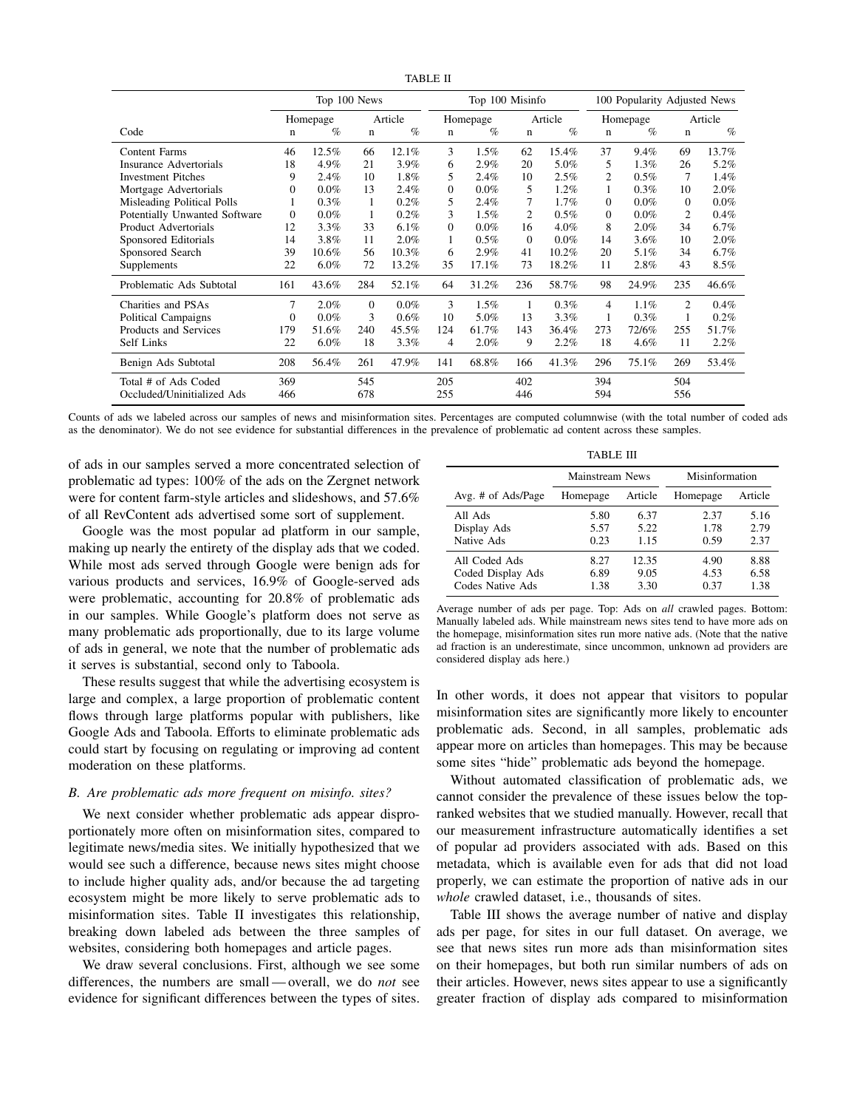|                               |             |          | Top 100 News |         |             | Top 100 Misinfo |          |         |                | 100 Popularity Adjusted News |             |         |
|-------------------------------|-------------|----------|--------------|---------|-------------|-----------------|----------|---------|----------------|------------------------------|-------------|---------|
|                               |             | Homepage |              | Article |             | Homepage        |          | Article |                | Homepage                     |             | Article |
| Code                          | $\mathbf n$ | $\%$     | $\mathbf n$  | $\%$    | $\mathbf n$ | $\%$            | n        | $\%$    | $\mathbf n$    | $\%$                         | $\mathbf n$ | $\%$    |
| Content Farms                 | 46          | 12.5%    | 66           | 12.1%   | 3           | $1.5\%$         | 62       | 15.4%   | 37             | 9.4%                         | 69          | 13.7%   |
| Insurance Advertorials        | 18          | 4.9%     | 21           | 3.9%    | 6           | 2.9%            | 20       | 5.0%    | 5              | $1.3\%$                      | 26          | 5.2%    |
| <b>Investment Pitches</b>     | 9           | 2.4%     | 10           | 1.8%    | 5           | 2.4%            | 10       | 2.5%    | $\overline{c}$ | $0.5\%$                      | 7           | 1.4%    |
| Mortgage Advertorials         | $\Omega$    | $0.0\%$  | 13           | 2.4%    | $\Omega$    | $0.0\%$         | 5        | 1.2%    | 1              | 0.3%                         | 10          | 2.0%    |
| Misleading Political Polls    | 1           | 0.3%     | 1            | 0.2%    | 5           | 2.4%            |          | 1.7%    | $\Omega$       | $0.0\%$                      | $\Omega$    | $0.0\%$ |
| Potentially Unwanted Software | $\Omega$    | $0.0\%$  | 1            | 0.2%    | 3           | 1.5%            | 2        | 0.5%    | $\Omega$       | $0.0\%$                      | 2           | 0.4%    |
| Product Advertorials          | 12          | $3.3\%$  | 33           | 6.1%    | $\Omega$    | $0.0\%$         | 16       | 4.0%    | 8              | 2.0%                         | 34          | 6.7%    |
| Sponsored Editorials          | 14          | 3.8%     | 11           | 2.0%    | 1           | $0.5\%$         | $\Omega$ | 0.0%    | 14             | 3.6%                         | 10          | 2.0%    |
| Sponsored Search              | 39          | 10.6%    | 56           | 10.3%   | 6           | 2.9%            | 41       | 10.2%   | 20             | 5.1%                         | 34          | 6.7%    |
| Supplements                   | 22          | $6.0\%$  | 72           | 13.2%   | 35          | 17.1%           | 73       | 18.2%   | 11             | 2.8%                         | 43          | 8.5%    |
| Problematic Ads Subtotal      | 161         | 43.6%    | 284          | 52.1%   | 64          | 31.2%           | 236      | 58.7%   | 98             | 24.9%                        | 235         | 46.6%   |
| Charities and PSAs            | 7           | $2.0\%$  | $\Omega$     | $0.0\%$ | 3           | $1.5\%$         | 1        | 0.3%    | $\overline{4}$ | 1.1%                         | 2           | 0.4%    |
| Political Campaigns           | $\Omega$    | $0.0\%$  | 3            | 0.6%    | 10          | 5.0%            | 13       | 3.3%    | 1              | 0.3%                         | 1           | 0.2%    |
| Products and Services         | 179         | 51.6%    | 240          | 45.5%   | 124         | 61.7%           | 143      | 36.4%   | 273            | 72/6%                        | 255         | 51.7%   |
| Self Links                    | 22          | $6.0\%$  | 18           | 3.3%    | 4           | 2.0%            | 9        | 2.2%    | 18             | 4.6%                         | 11          | 2.2%    |
| Benign Ads Subtotal           | 208         | 56.4%    | 261          | 47.9%   | 141         | 68.8%           | 166      | 41.3%   | 296            | 75.1%                        | 269         | 53.4%   |
| Total # of Ads Coded          | 369         |          | 545          |         | 205         |                 | 402      |         | 394            |                              | 504         |         |
| Occluded/Uninitialized Ads    | 466         |          | 678          |         | 255         |                 | 446      |         | 594            |                              | 556         |         |

TABLE II

Counts of ads we labeled across our samples of news and misinformation sites. Percentages are computed columnwise (with the total number of coded ads as the denominator). We do not see evidence for substantial differences in the prevalence of problematic ad content across these samples.

of ads in our samples served a more concentrated selection of problematic ad types: 100% of the ads on the Zergnet network were for content farm-style articles and slideshows, and 57.6% of all RevContent ads advertised some sort of supplement.

Google was the most popular ad platform in our sample, making up nearly the entirety of the display ads that we coded. While most ads served through Google were benign ads for various products and services, 16.9% of Google-served ads were problematic, accounting for 20.8% of problematic ads in our samples. While Google's platform does not serve as many problematic ads proportionally, due to its large volume of ads in general, we note that the number of problematic ads it serves is substantial, second only to Taboola.

These results suggest that while the advertising ecosystem is large and complex, a large proportion of problematic content flows through large platforms popular with publishers, like Google Ads and Taboola. Efforts to eliminate problematic ads could start by focusing on regulating or improving ad content moderation on these platforms.

#### *B. Are problematic ads more frequent on misinfo. sites?*

We next consider whether problematic ads appear disproportionately more often on misinformation sites, compared to legitimate news/media sites. We initially hypothesized that we would see such a difference, because news sites might choose to include higher quality ads, and/or because the ad targeting ecosystem might be more likely to serve problematic ads to misinformation sites. Table II investigates this relationship, breaking down labeled ads between the three samples of websites, considering both homepages and article pages.

We draw several conclusions. First, although we see some differences, the numbers are small — overall, we do *not* see evidence for significant differences between the types of sites.

|--|

|                                                        | Mainstream News      |                       | Misinformation       |                      |  |  |
|--------------------------------------------------------|----------------------|-----------------------|----------------------|----------------------|--|--|
| Avg. # of Ads/Page                                     | Homepage             | Article               | Homepage             | Article              |  |  |
| All Ads<br>Display Ads<br>Native Ads                   | 5.80<br>5.57<br>0.23 | 6.37<br>5.22<br>1.15  | 2.37<br>1.78<br>0.59 | 5.16<br>2.79<br>2.37 |  |  |
| All Coded Ads<br>Coded Display Ads<br>Codes Native Ads | 8.27<br>6.89<br>1.38 | 12.35<br>9.05<br>3.30 | 4.90<br>4.53<br>0.37 | 8.88<br>6.58<br>1.38 |  |  |

Average number of ads per page. Top: Ads on *all* crawled pages. Bottom: Manually labeled ads. While mainstream news sites tend to have more ads on the homepage, misinformation sites run more native ads. (Note that the native ad fraction is an underestimate, since uncommon, unknown ad providers are considered display ads here.)

In other words, it does not appear that visitors to popular misinformation sites are significantly more likely to encounter problematic ads. Second, in all samples, problematic ads appear more on articles than homepages. This may be because some sites "hide" problematic ads beyond the homepage.

Without automated classification of problematic ads, we cannot consider the prevalence of these issues below the topranked websites that we studied manually. However, recall that our measurement infrastructure automatically identifies a set of popular ad providers associated with ads. Based on this metadata, which is available even for ads that did not load properly, we can estimate the proportion of native ads in our *whole* crawled dataset, i.e., thousands of sites.

Table III shows the average number of native and display ads per page, for sites in our full dataset. On average, we see that news sites run more ads than misinformation sites on their homepages, but both run similar numbers of ads on their articles. However, news sites appear to use a significantly greater fraction of display ads compared to misinformation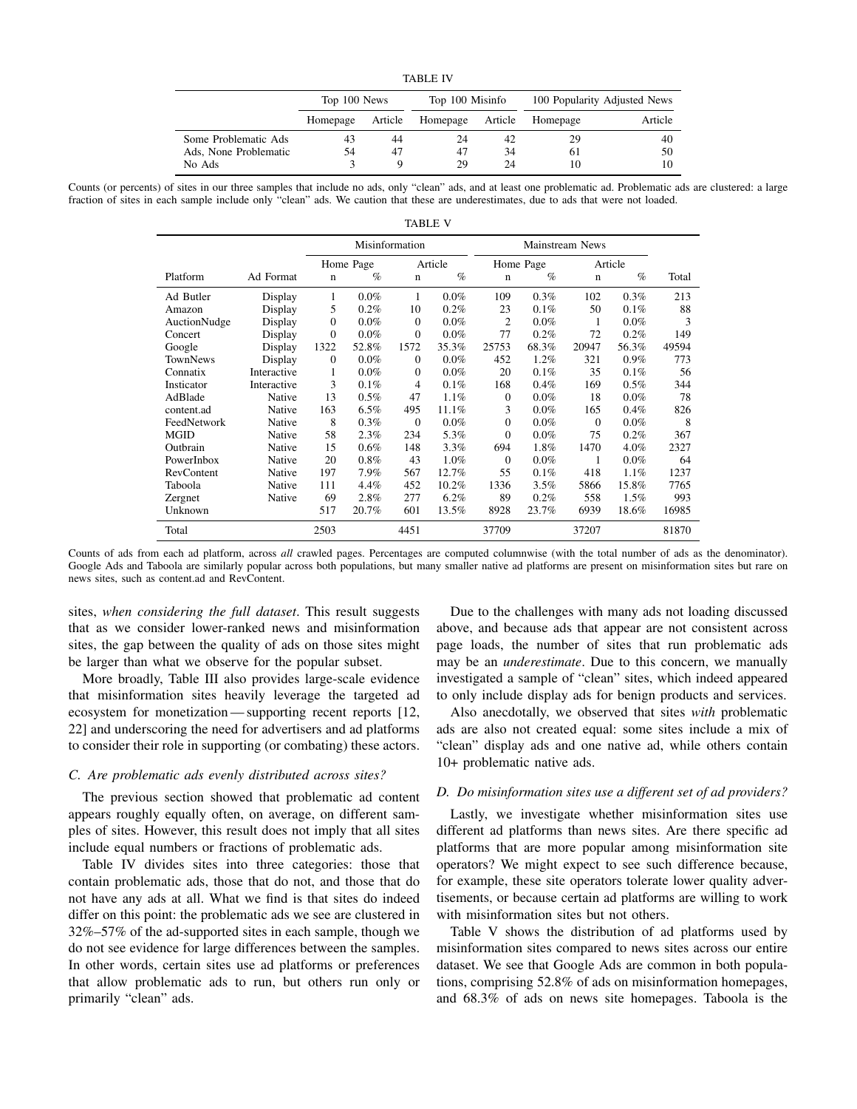| FA BI . |
|---------|
|---------|

|                       | Top 100 News |         | Top 100 Misinfo |         | 100 Popularity Adjusted News |         |  |  |
|-----------------------|--------------|---------|-----------------|---------|------------------------------|---------|--|--|
|                       | Homepage     | Article | Homepage        | Article | Homepage                     | Article |  |  |
| Some Problematic Ads  | 43           | 44      | 24              | 42      | 29                           | 40      |  |  |
| Ads, None Problematic | 54           | 47      | 47              | 34      | 61                           | 50      |  |  |
| No Ads                |              |         | 29              | 24      |                              |         |  |  |

Counts (or percents) of sites in our three samples that include no ads, only "clean" ads, and at least one problematic ad. Problematic ads are clustered: a large fraction of sites in each sample include only "clean" ads. We caution that these are underestimates, due to ads that were not loaded. TABLE V

|              |             | Misinformation |           |              |         | Mainstream News |           |             |         |       |
|--------------|-------------|----------------|-----------|--------------|---------|-----------------|-----------|-------------|---------|-------|
|              |             |                | Home Page |              | Article |                 | Home Page |             | Article |       |
| Platform     | Ad Format   | $\mathbf n$    | $\%$      | $\mathbf n$  | $\%$    | $\mathbf n$     | $\%$      | $\mathbf n$ | $\%$    | Total |
| Ad Butler    | Display     | 1              | $0.0\%$   | 1            | $0.0\%$ | 109             | 0.3%      | 102         | 0.3%    | 213   |
| Amazon       | Display     | 5              | 0.2%      | 10           | 0.2%    | 23              | 0.1%      | 50          | 0.1%    | 88    |
| AuctionNudge | Display     | $\overline{0}$ | $0.0\%$   | $\mathbf{0}$ | $0.0\%$ | $\overline{c}$  | $0.0\%$   | 1           | $0.0\%$ | 3     |
| Concert      | Display     | $\overline{0}$ | $0.0\%$   | $\mathbf{0}$ | $0.0\%$ | 77              | 0.2%      | 72          | 0.2%    | 149   |
| Google       | Display     | 1322           | 52.8%     | 1572         | 35.3%   | 25753           | 68.3%     | 20947       | 56.3%   | 49594 |
| TownNews     | Display     | $\overline{0}$ | 0.0%      | $\Omega$     | 0.0%    | 452             | 1.2%      | 321         | 0.9%    | 773   |
| Connatix     | Interactive | 1              | $0.0\%$   | $\mathbf{0}$ | $0.0\%$ | 20              | 0.1%      | 35          | 0.1%    | 56    |
| Insticator   | Interactive | 3              | 0.1%      | 4            | 0.1%    | 168             | 0.4%      | 169         | 0.5%    | 344   |
| AdBlade      | Native      | 13             | 0.5%      | 47           | 1.1%    | $\theta$        | 0.0%      | 18          | $0.0\%$ | 78    |
| content.ad   | Native      | 163            | $6.5\%$   | 495          | 11.1%   | 3               | 0.0%      | 165         | 0.4%    | 826   |
| FeedNetwork  | Native      | 8              | 0.3%      | $\Omega$     | 0.0%    | $\mathbf{0}$    | $0.0\%$   | $\Omega$    | $0.0\%$ | 8     |
| <b>MGID</b>  | Native      | 58             | 2.3%      | 234          | 5.3%    | $\Omega$        | 0.0%      | 75          | 0.2%    | 367   |
| Outbrain     | Native      | 15             | $0.6\%$   | 148          | 3.3%    | 694             | 1.8%      | 1470        | 4.0%    | 2327  |
| PowerInbox   | Native      | 20             | $0.8\%$   | 43           | 1.0%    | $\theta$        | 0.0%      | 1           | $0.0\%$ | 64    |
| RevContent   | Native      | 197            | 7.9%      | 567          | 12.7%   | 55              | 0.1%      | 418         | 1.1%    | 1237  |
| Taboola      | Native      | 111            | 4.4%      | 452          | 10.2%   | 1336            | 3.5%      | 5866        | 15.8%   | 7765  |
| Zergnet      | Native      | 69             | 2.8%      | 277          | 6.2%    | 89              | $0.2\%$   | 558         | $1.5\%$ | 993   |
| Unknown      |             | 517            | 20.7%     | 601          | 13.5%   | 8928            | 23.7%     | 6939        | 18.6%   | 16985 |
| Total        |             | 2503           |           | 4451         |         | 37709           |           | 37207       |         | 81870 |

Counts of ads from each ad platform, across *all* crawled pages. Percentages are computed columnwise (with the total number of ads as the denominator). Google Ads and Taboola are similarly popular across both populations, but many smaller native ad platforms are present on misinformation sites but rare on news sites, such as content.ad and RevContent.

sites, *when considering the full dataset*. This result suggests that as we consider lower-ranked news and misinformation sites, the gap between the quality of ads on those sites might be larger than what we observe for the popular subset.

More broadly, Table III also provides large-scale evidence that misinformation sites heavily leverage the targeted ad ecosystem for monetization— supporting recent reports [12, 22] and underscoring the need for advertisers and ad platforms to consider their role in supporting (or combating) these actors.

#### *C. Are problematic ads evenly distributed across sites?*

The previous section showed that problematic ad content appears roughly equally often, on average, on different samples of sites. However, this result does not imply that all sites include equal numbers or fractions of problematic ads.

Table IV divides sites into three categories: those that contain problematic ads, those that do not, and those that do not have any ads at all. What we find is that sites do indeed differ on this point: the problematic ads we see are clustered in 32%–57% of the ad-supported sites in each sample, though we do not see evidence for large differences between the samples. In other words, certain sites use ad platforms or preferences that allow problematic ads to run, but others run only or primarily "clean" ads.

Due to the challenges with many ads not loading discussed above, and because ads that appear are not consistent across page loads, the number of sites that run problematic ads may be an *underestimate*. Due to this concern, we manually investigated a sample of "clean" sites, which indeed appeared to only include display ads for benign products and services.

Also anecdotally, we observed that sites *with* problematic ads are also not created equal: some sites include a mix of "clean" display ads and one native ad, while others contain 10+ problematic native ads.

## *D. Do misinformation sites use a different set of ad providers?*

Lastly, we investigate whether misinformation sites use different ad platforms than news sites. Are there specific ad platforms that are more popular among misinformation site operators? We might expect to see such difference because, for example, these site operators tolerate lower quality advertisements, or because certain ad platforms are willing to work with misinformation sites but not others.

Table V shows the distribution of ad platforms used by misinformation sites compared to news sites across our entire dataset. We see that Google Ads are common in both populations, comprising 52.8% of ads on misinformation homepages, and 68.3% of ads on news site homepages. Taboola is the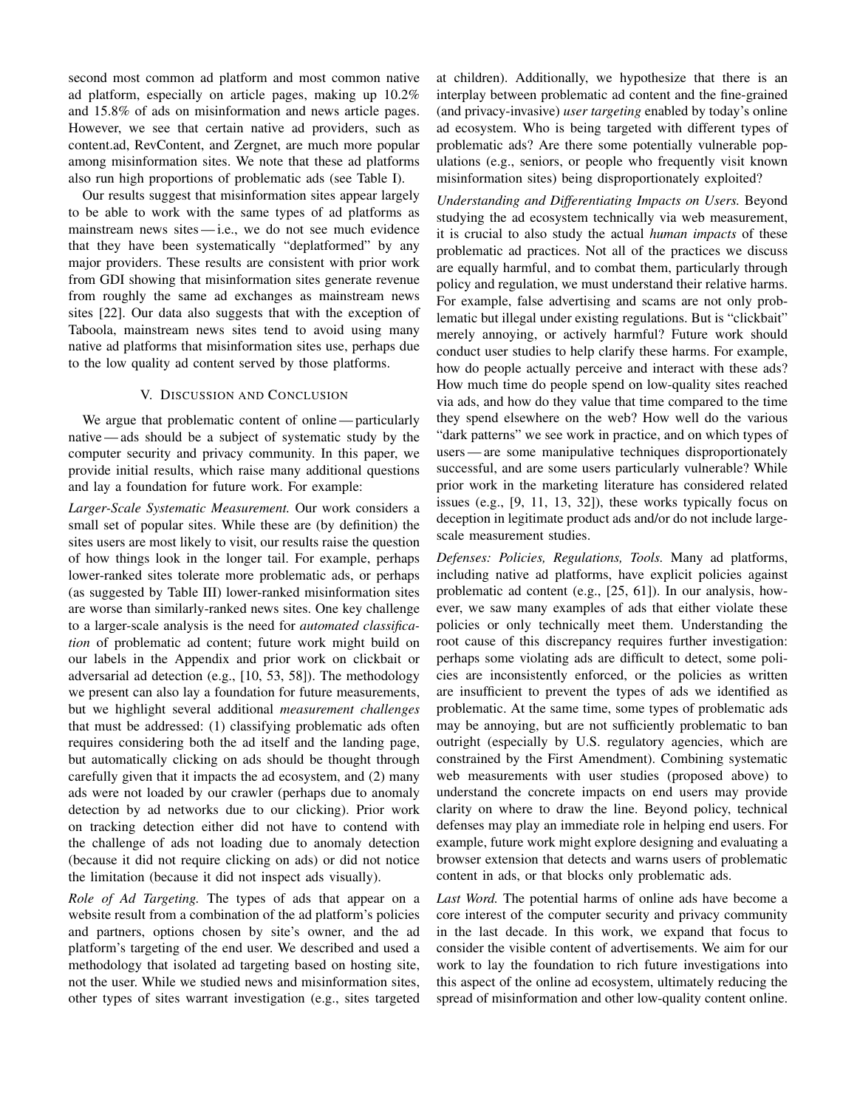second most common ad platform and most common native ad platform, especially on article pages, making up 10.2% and 15.8% of ads on misinformation and news article pages. However, we see that certain native ad providers, such as content.ad, RevContent, and Zergnet, are much more popular among misinformation sites. We note that these ad platforms also run high proportions of problematic ads (see Table I).

Our results suggest that misinformation sites appear largely to be able to work with the same types of ad platforms as mainstream news sites — i.e., we do not see much evidence that they have been systematically "deplatformed" by any major providers. These results are consistent with prior work from GDI showing that misinformation sites generate revenue from roughly the same ad exchanges as mainstream news sites [22]. Our data also suggests that with the exception of Taboola, mainstream news sites tend to avoid using many native ad platforms that misinformation sites use, perhaps due to the low quality ad content served by those platforms.

## V. DISCUSSION AND CONCLUSION

We argue that problematic content of online—particularly native — ads should be a subject of systematic study by the computer security and privacy community. In this paper, we provide initial results, which raise many additional questions and lay a foundation for future work. For example:

*Larger-Scale Systematic Measurement.* Our work considers a small set of popular sites. While these are (by definition) the sites users are most likely to visit, our results raise the question of how things look in the longer tail. For example, perhaps lower-ranked sites tolerate more problematic ads, or perhaps (as suggested by Table III) lower-ranked misinformation sites are worse than similarly-ranked news sites. One key challenge to a larger-scale analysis is the need for *automated classification* of problematic ad content; future work might build on our labels in the Appendix and prior work on clickbait or adversarial ad detection (e.g., [10, 53, 58]). The methodology we present can also lay a foundation for future measurements, but we highlight several additional *measurement challenges* that must be addressed: (1) classifying problematic ads often requires considering both the ad itself and the landing page, but automatically clicking on ads should be thought through carefully given that it impacts the ad ecosystem, and (2) many ads were not loaded by our crawler (perhaps due to anomaly detection by ad networks due to our clicking). Prior work on tracking detection either did not have to contend with the challenge of ads not loading due to anomaly detection (because it did not require clicking on ads) or did not notice the limitation (because it did not inspect ads visually).

*Role of Ad Targeting.* The types of ads that appear on a website result from a combination of the ad platform's policies and partners, options chosen by site's owner, and the ad platform's targeting of the end user. We described and used a methodology that isolated ad targeting based on hosting site, not the user. While we studied news and misinformation sites, other types of sites warrant investigation (e.g., sites targeted at children). Additionally, we hypothesize that there is an interplay between problematic ad content and the fine-grained (and privacy-invasive) *user targeting* enabled by today's online ad ecosystem. Who is being targeted with different types of problematic ads? Are there some potentially vulnerable populations (e.g., seniors, or people who frequently visit known misinformation sites) being disproportionately exploited?

*Understanding and Differentiating Impacts on Users.* Beyond studying the ad ecosystem technically via web measurement, it is crucial to also study the actual *human impacts* of these problematic ad practices. Not all of the practices we discuss are equally harmful, and to combat them, particularly through policy and regulation, we must understand their relative harms. For example, false advertising and scams are not only problematic but illegal under existing regulations. But is "clickbait" merely annoying, or actively harmful? Future work should conduct user studies to help clarify these harms. For example, how do people actually perceive and interact with these ads? How much time do people spend on low-quality sites reached via ads, and how do they value that time compared to the time they spend elsewhere on the web? How well do the various "dark patterns" we see work in practice, and on which types of users — are some manipulative techniques disproportionately successful, and are some users particularly vulnerable? While prior work in the marketing literature has considered related issues (e.g., [9, 11, 13, 32]), these works typically focus on deception in legitimate product ads and/or do not include largescale measurement studies.

*Defenses: Policies, Regulations, Tools.* Many ad platforms, including native ad platforms, have explicit policies against problematic ad content (e.g., [25, 61]). In our analysis, however, we saw many examples of ads that either violate these policies or only technically meet them. Understanding the root cause of this discrepancy requires further investigation: perhaps some violating ads are difficult to detect, some policies are inconsistently enforced, or the policies as written are insufficient to prevent the types of ads we identified as problematic. At the same time, some types of problematic ads may be annoying, but are not sufficiently problematic to ban outright (especially by U.S. regulatory agencies, which are constrained by the First Amendment). Combining systematic web measurements with user studies (proposed above) to understand the concrete impacts on end users may provide clarity on where to draw the line. Beyond policy, technical defenses may play an immediate role in helping end users. For example, future work might explore designing and evaluating a browser extension that detects and warns users of problematic content in ads, or that blocks only problematic ads.

*Last Word.* The potential harms of online ads have become a core interest of the computer security and privacy community in the last decade. In this work, we expand that focus to consider the visible content of advertisements. We aim for our work to lay the foundation to rich future investigations into this aspect of the online ad ecosystem, ultimately reducing the spread of misinformation and other low-quality content online.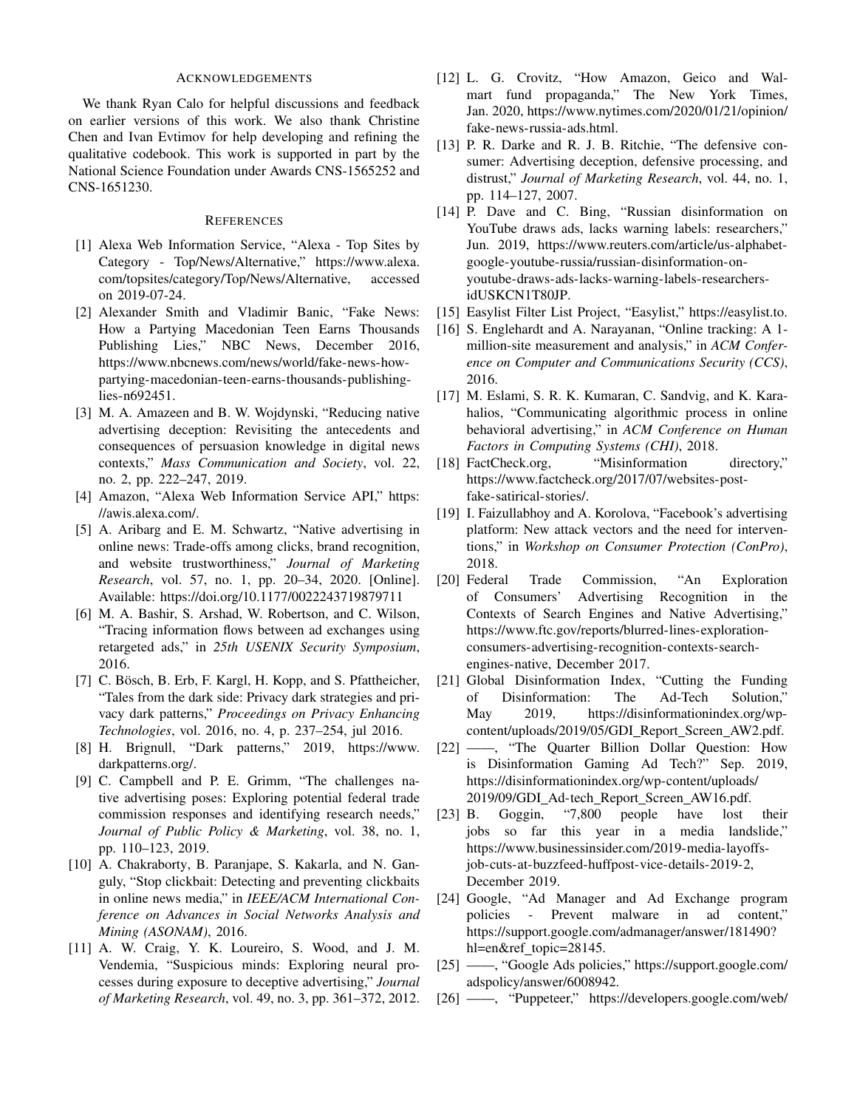#### ACKNOWLEDGEMENTS

We thank Ryan Calo for helpful discussions and feedback on earlier versions of this work. We also thank Christine Chen and Ivan Evtimov for help developing and refining the qualitative codebook. This work is supported in part by the National Science Foundation under Awards CNS-1565252 and CNS-1651230.

#### REFERENCES

- [1] Alexa Web Information Service, "Alexa Top Sites by Category - Top/News/Alternative," https://www.alexa. com/topsites/category/Top/News/Alternative, accessed on 2019-07-24.
- [2] Alexander Smith and Vladimir Banic, "Fake News: How a Partying Macedonian Teen Earns Thousands Publishing Lies," NBC News, December 2016, https://www.nbcnews.com/news/world/fake-news-howpartying-macedonian-teen-earns-thousands-publishinglies-n692451.
- [3] M. A. Amazeen and B. W. Wojdynski, "Reducing native advertising deception: Revisiting the antecedents and consequences of persuasion knowledge in digital news contexts," *Mass Communication and Society*, vol. 22, no. 2, pp. 222–247, 2019.
- [4] Amazon, "Alexa Web Information Service API," https: //awis.alexa.com/.
- [5] A. Aribarg and E. M. Schwartz, "Native advertising in online news: Trade-offs among clicks, brand recognition, and website trustworthiness," *Journal of Marketing Research*, vol. 57, no. 1, pp. 20–34, 2020. [Online]. Available: https://doi.org/10.1177/0022243719879711
- [6] M. A. Bashir, S. Arshad, W. Robertson, and C. Wilson, "Tracing information flows between ad exchanges using retargeted ads," in *25th USENIX Security Symposium*, 2016.
- [7] C. Bösch, B. Erb, F. Kargl, H. Kopp, and S. Pfattheicher, "Tales from the dark side: Privacy dark strategies and privacy dark patterns," *Proceedings on Privacy Enhancing Technologies*, vol. 2016, no. 4, p. 237–254, jul 2016.
- [8] H. Brignull, "Dark patterns," 2019, https://www. darkpatterns.org/.
- [9] C. Campbell and P. E. Grimm, "The challenges native advertising poses: Exploring potential federal trade commission responses and identifying research needs," *Journal of Public Policy & Marketing*, vol. 38, no. 1, pp. 110–123, 2019.
- [10] A. Chakraborty, B. Paranjape, S. Kakarla, and N. Ganguly, "Stop clickbait: Detecting and preventing clickbaits in online news media," in *IEEE/ACM International Conference on Advances in Social Networks Analysis and Mining (ASONAM)*, 2016.
- [11] A. W. Craig, Y. K. Loureiro, S. Wood, and J. M. Vendemia, "Suspicious minds: Exploring neural processes during exposure to deceptive advertising," *Journal of Marketing Research*, vol. 49, no. 3, pp. 361–372, 2012.
- [12] L. G. Crovitz, "How Amazon, Geico and Walmart fund propaganda," The New York Times, Jan. 2020, https://www.nytimes.com/2020/01/21/opinion/ fake-news-russia-ads.html.
- [13] P. R. Darke and R. J. B. Ritchie, "The defensive consumer: Advertising deception, defensive processing, and distrust," *Journal of Marketing Research*, vol. 44, no. 1, pp. 114–127, 2007.
- [14] P. Dave and C. Bing, "Russian disinformation on YouTube draws ads, lacks warning labels: researchers," Jun. 2019, https://www.reuters.com/article/us-alphabetgoogle-youtube-russia/russian-disinformation-onyoutube-draws-ads-lacks-warning-labels-researchersidUSKCN1T80JP.
- [15] Easylist Filter List Project, "Easylist," https://easylist.to.
- [16] S. Englehardt and A. Narayanan, "Online tracking: A 1million-site measurement and analysis," in *ACM Conference on Computer and Communications Security (CCS)*, 2016.
- [17] M. Eslami, S. R. K. Kumaran, C. Sandvig, and K. Karahalios, "Communicating algorithmic process in online behavioral advertising," in *ACM Conference on Human Factors in Computing Systems (CHI)*, 2018.
- [18] FactCheck.org, "Misinformation directory," https://www.factcheck.org/2017/07/websites-postfake-satirical-stories/.
- [19] I. Faizullabhoy and A. Korolova, "Facebook's advertising platform: New attack vectors and the need for interventions," in *Workshop on Consumer Protection (ConPro)*, 2018.
- [20] Federal Trade Commission, "An Exploration of Consumers' Advertising Recognition in the Contexts of Search Engines and Native Advertising," https://www.ftc.gov/reports/blurred-lines-explorationconsumers-advertising-recognition-contexts-searchengines-native, December 2017.
- [21] Global Disinformation Index, "Cutting the Funding of Disinformation: The Ad-Tech Solution," May 2019, https://disinformationindex.org/wpcontent/uploads/2019/05/GDI\_Report\_Screen\_AW2.pdf.
- [22] ——, "The Quarter Billion Dollar Question: How is Disinformation Gaming Ad Tech?" Sep. 2019, https://disinformationindex.org/wp-content/uploads/ 2019/09/GDI Ad-tech Report Screen AW16.pdf.
- [23] B. Goggin, "7,800 people have lost their jobs so far this year in a media landslide," https://www.businessinsider.com/2019-media-layoffsjob-cuts-at-buzzfeed-huffpost-vice-details-2019-2, December 2019.
- [24] Google, "Ad Manager and Ad Exchange program policies - Prevent malware in ad content," https://support.google.com/admanager/answer/181490? hl=en&ref\_topic=28145.
- [25] ——, "Google Ads policies," https://support.google.com/ adspolicy/answer/6008942.
- [26] ——, "Puppeteer," https://developers.google.com/web/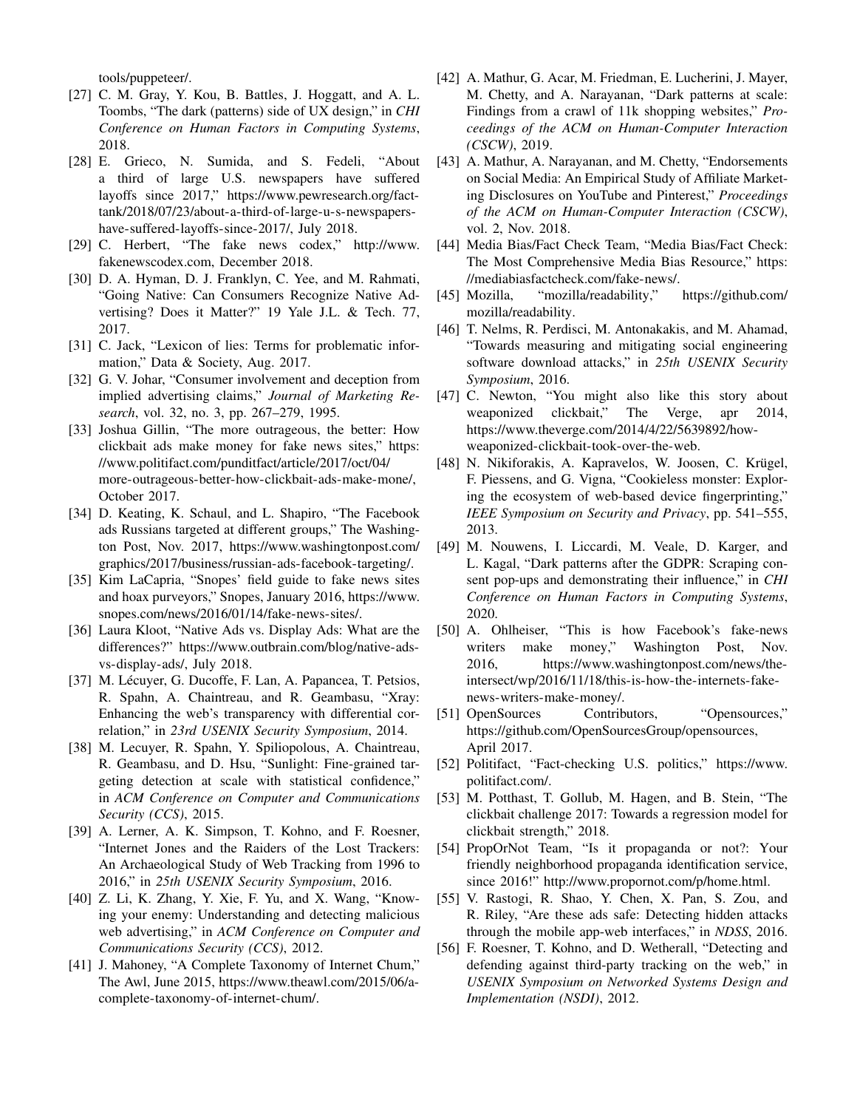tools/puppeteer/.

- [27] C. M. Gray, Y. Kou, B. Battles, J. Hoggatt, and A. L. Toombs, "The dark (patterns) side of UX design," in *CHI Conference on Human Factors in Computing Systems*, 2018.
- [28] E. Grieco, N. Sumida, and S. Fedeli, "About a third of large U.S. newspapers have suffered layoffs since 2017," https://www.pewresearch.org/facttank/2018/07/23/about-a-third-of-large-u-s-newspapershave-suffered-layoffs-since-2017/, July 2018.
- [29] C. Herbert, "The fake news codex," http://www. fakenewscodex.com, December 2018.
- [30] D. A. Hyman, D. J. Franklyn, C. Yee, and M. Rahmati, "Going Native: Can Consumers Recognize Native Advertising? Does it Matter?" 19 Yale J.L. & Tech. 77, 2017.
- [31] C. Jack, "Lexicon of lies: Terms for problematic information," Data & Society, Aug. 2017.
- [32] G. V. Johar, "Consumer involvement and deception from implied advertising claims," *Journal of Marketing Research*, vol. 32, no. 3, pp. 267–279, 1995.
- [33] Joshua Gillin, "The more outrageous, the better: How clickbait ads make money for fake news sites," https: //www.politifact.com/punditfact/article/2017/oct/04/ more-outrageous-better-how-clickbait-ads-make-mone/, October 2017.
- [34] D. Keating, K. Schaul, and L. Shapiro, "The Facebook ads Russians targeted at different groups," The Washington Post, Nov. 2017, https://www.washingtonpost.com/ graphics/2017/business/russian-ads-facebook-targeting/.
- [35] Kim LaCapria, "Snopes' field guide to fake news sites and hoax purveyors," Snopes, January 2016, https://www. snopes.com/news/2016/01/14/fake-news-sites/.
- [36] Laura Kloot, "Native Ads vs. Display Ads: What are the differences?" https://www.outbrain.com/blog/native-adsvs-display-ads/, July 2018.
- [37] M. Lécuyer, G. Ducoffe, F. Lan, A. Papancea, T. Petsios, R. Spahn, A. Chaintreau, and R. Geambasu, "Xray: Enhancing the web's transparency with differential correlation," in *23rd USENIX Security Symposium*, 2014.
- [38] M. Lecuyer, R. Spahn, Y. Spiliopolous, A. Chaintreau, R. Geambasu, and D. Hsu, "Sunlight: Fine-grained targeting detection at scale with statistical confidence," in *ACM Conference on Computer and Communications Security (CCS)*, 2015.
- [39] A. Lerner, A. K. Simpson, T. Kohno, and F. Roesner, "Internet Jones and the Raiders of the Lost Trackers: An Archaeological Study of Web Tracking from 1996 to 2016," in *25th USENIX Security Symposium*, 2016.
- [40] Z. Li, K. Zhang, Y. Xie, F. Yu, and X. Wang, "Knowing your enemy: Understanding and detecting malicious web advertising," in *ACM Conference on Computer and Communications Security (CCS)*, 2012.
- [41] J. Mahoney, "A Complete Taxonomy of Internet Chum," The Awl, June 2015, https://www.theawl.com/2015/06/acomplete-taxonomy-of-internet-chum/.
- [42] A. Mathur, G. Acar, M. Friedman, E. Lucherini, J. Mayer, M. Chetty, and A. Narayanan, "Dark patterns at scale: Findings from a crawl of 11k shopping websites," *Proceedings of the ACM on Human-Computer Interaction (CSCW)*, 2019.
- [43] A. Mathur, A. Narayanan, and M. Chetty, "Endorsements on Social Media: An Empirical Study of Affiliate Marketing Disclosures on YouTube and Pinterest," *Proceedings of the ACM on Human-Computer Interaction (CSCW)*, vol. 2, Nov. 2018.
- [44] Media Bias/Fact Check Team, "Media Bias/Fact Check: The Most Comprehensive Media Bias Resource," https: //mediabiasfactcheck.com/fake-news/.
- [45] Mozilla, "mozilla/readability," https://github.com/ mozilla/readability.
- [46] T. Nelms, R. Perdisci, M. Antonakakis, and M. Ahamad, "Towards measuring and mitigating social engineering software download attacks," in *25th USENIX Security Symposium*, 2016.
- [47] C. Newton, "You might also like this story about weaponized clickbait," The Verge, apr 2014, https://www.theverge.com/2014/4/22/5639892/howweaponized-clickbait-took-over-the-web.
- [48] N. Nikiforakis, A. Kapravelos, W. Joosen, C. Krügel, F. Piessens, and G. Vigna, "Cookieless monster: Exploring the ecosystem of web-based device fingerprinting," *IEEE Symposium on Security and Privacy*, pp. 541–555, 2013.
- [49] M. Nouwens, I. Liccardi, M. Veale, D. Karger, and L. Kagal, "Dark patterns after the GDPR: Scraping consent pop-ups and demonstrating their influence," in *CHI Conference on Human Factors in Computing Systems*, 2020.
- [50] A. Ohlheiser, "This is how Facebook's fake-news writers make money," Washington Post, Nov. 2016, https://www.washingtonpost.com/news/theintersect/wp/2016/11/18/this-is-how-the-internets-fakenews-writers-make-money/.
- [51] OpenSources Contributors, "Opensources," https://github.com/OpenSourcesGroup/opensources, April 2017.
- [52] Politifact, "Fact-checking U.S. politics," https://www. politifact.com/.
- [53] M. Potthast, T. Gollub, M. Hagen, and B. Stein, "The clickbait challenge 2017: Towards a regression model for clickbait strength," 2018.
- [54] PropOrNot Team, "Is it propaganda or not?: Your friendly neighborhood propaganda identification service, since 2016!" http://www.propornot.com/p/home.html.
- [55] V. Rastogi, R. Shao, Y. Chen, X. Pan, S. Zou, and R. Riley, "Are these ads safe: Detecting hidden attacks through the mobile app-web interfaces," in *NDSS*, 2016.
- [56] F. Roesner, T. Kohno, and D. Wetherall, "Detecting and defending against third-party tracking on the web," in *USENIX Symposium on Networked Systems Design and Implementation (NSDI)*, 2012.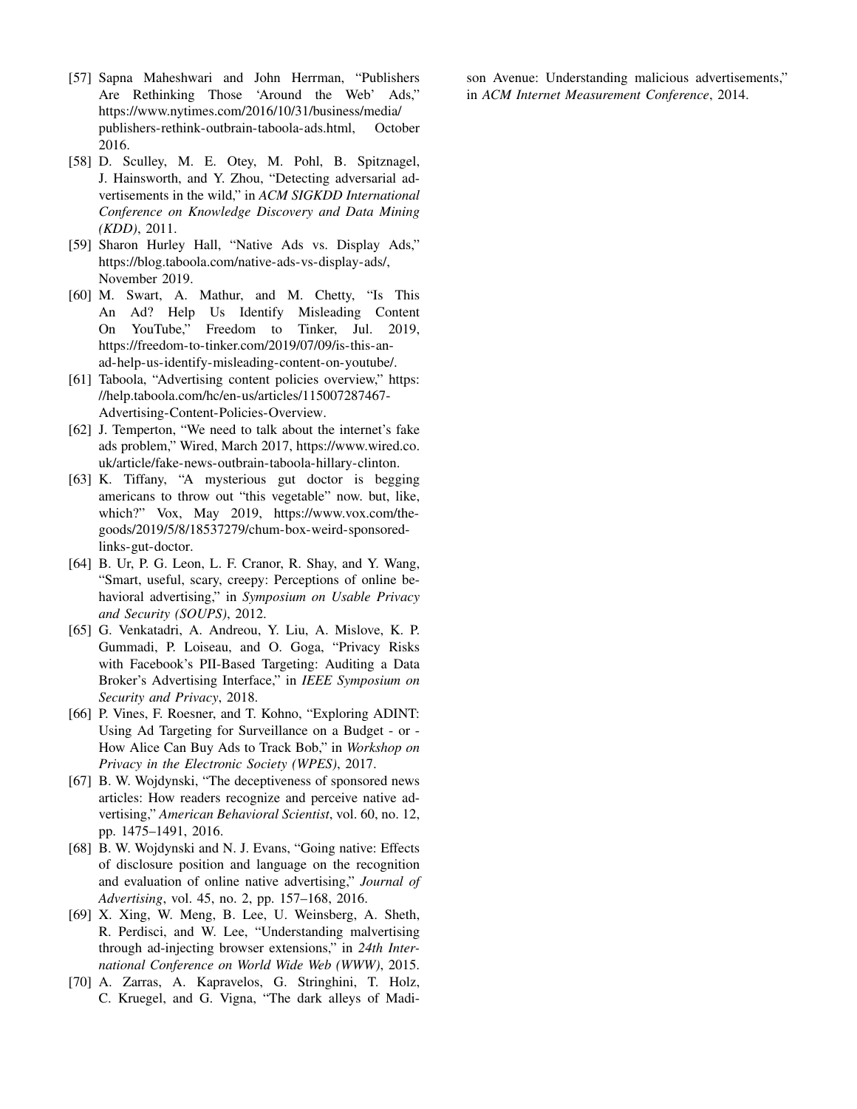- [57] Sapna Maheshwari and John Herrman, "Publishers Are Rethinking Those 'Around the Web' Ads," https://www.nytimes.com/2016/10/31/business/media/ publishers-rethink-outbrain-taboola-ads.html, October 2016.
- [58] D. Sculley, M. E. Otey, M. Pohl, B. Spitznagel, J. Hainsworth, and Y. Zhou, "Detecting adversarial advertisements in the wild," in *ACM SIGKDD International Conference on Knowledge Discovery and Data Mining (KDD)*, 2011.
- [59] Sharon Hurley Hall, "Native Ads vs. Display Ads," https://blog.taboola.com/native-ads-vs-display-ads/, November 2019.
- [60] M. Swart, A. Mathur, and M. Chetty, "Is This An Ad? Help Us Identify Misleading Content On YouTube," Freedom to Tinker, Jul. 2019, https://freedom-to-tinker.com/2019/07/09/is-this-anad-help-us-identify-misleading-content-on-youtube/.
- [61] Taboola, "Advertising content policies overview," https: //help.taboola.com/hc/en-us/articles/115007287467- Advertising-Content-Policies-Overview.
- [62] J. Temperton, "We need to talk about the internet's fake ads problem," Wired, March 2017, https://www.wired.co. uk/article/fake-news-outbrain-taboola-hillary-clinton.
- [63] K. Tiffany, "A mysterious gut doctor is begging americans to throw out "this vegetable" now. but, like, which?" Vox, May 2019, https://www.vox.com/thegoods/2019/5/8/18537279/chum-box-weird-sponsoredlinks-gut-doctor.
- [64] B. Ur, P. G. Leon, L. F. Cranor, R. Shay, and Y. Wang, "Smart, useful, scary, creepy: Perceptions of online behavioral advertising," in *Symposium on Usable Privacy and Security (SOUPS)*, 2012.
- [65] G. Venkatadri, A. Andreou, Y. Liu, A. Mislove, K. P. Gummadi, P. Loiseau, and O. Goga, "Privacy Risks with Facebook's PII-Based Targeting: Auditing a Data Broker's Advertising Interface," in *IEEE Symposium on Security and Privacy*, 2018.
- [66] P. Vines, F. Roesner, and T. Kohno, "Exploring ADINT: Using Ad Targeting for Surveillance on a Budget - or - How Alice Can Buy Ads to Track Bob," in *Workshop on Privacy in the Electronic Society (WPES)*, 2017.
- [67] B. W. Wojdynski, "The deceptiveness of sponsored news articles: How readers recognize and perceive native advertising," *American Behavioral Scientist*, vol. 60, no. 12, pp. 1475–1491, 2016.
- [68] B. W. Wojdynski and N. J. Evans, "Going native: Effects of disclosure position and language on the recognition and evaluation of online native advertising," *Journal of Advertising*, vol. 45, no. 2, pp. 157–168, 2016.
- [69] X. Xing, W. Meng, B. Lee, U. Weinsberg, A. Sheth, R. Perdisci, and W. Lee, "Understanding malvertising through ad-injecting browser extensions," in *24th International Conference on World Wide Web (WWW)*, 2015.
- [70] A. Zarras, A. Kapravelos, G. Stringhini, T. Holz, C. Kruegel, and G. Vigna, "The dark alleys of Madi-

son Avenue: Understanding malicious advertisements," in *ACM Internet Measurement Conference*, 2014.